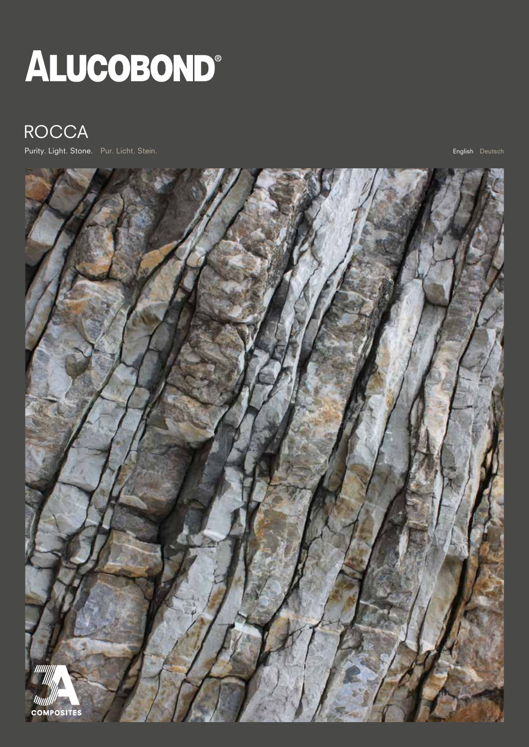# ALUCOBOND®

# ROCCA

Purity. Light. Stone. Pur. Licht. Stein. English Deutsch<sup>ill</sup> and the unit of the unit of the unit of the unit of the unit of the unit of the unit of the unit of the unit of the unit of the unit of the unit of the unit of

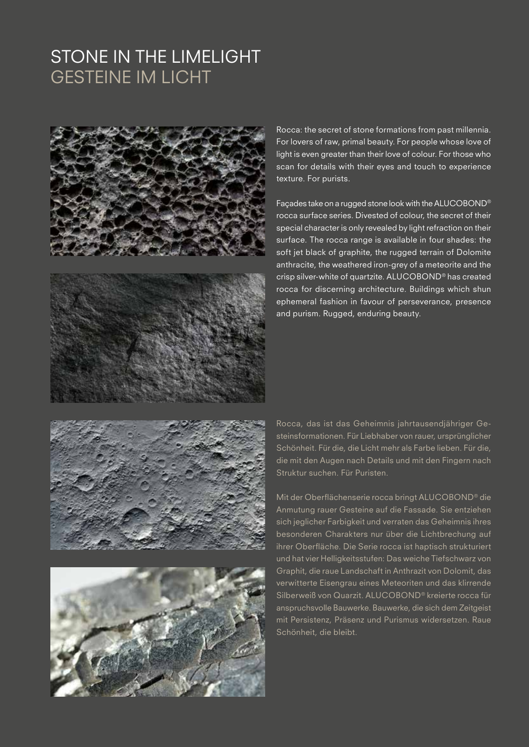## STONE IN THE LIMELIGHT GESTEINE IM LICHT





Rocca: the secret of stone formations from past millennia. For lovers of raw, primal beauty. For people whose love of light is even greater than their love of colour. For those who scan for details with their eyes and touch to experience texture. For purists.

Façades take on a rugged stone look with the ALUCOBOND® rocca surface series. Divested of colour, the secret of their special character is only revealed by light refraction on their surface. The rocca range is available in four shades: the soft jet black of graphite, the rugged terrain of Dolomite anthracite, the weathered iron-grey of a meteorite and the crisp silver-white of quartzite. ALUCOBOND® has created rocca for discerning architecture. Buildings which shun ephemeral fashion in favour of perseverance, presence and purism. Rugged, enduring beauty.





Rocca, das ist das Geheimnis jahrtausendjähriger Gesteinsformationen. Für Liebhaber von rauer, ursprünglicher Schönheit. Für die, die Licht mehr als Farbe lieben. Für die, die mit den Augen nach Details und mit den Fingern nach Struktur suchen. Für Puristen.

Mit der Oberflächenserie rocca bringt ALUCOBOND® die Anmutung rauer Gesteine auf die Fassade. Sie entziehen sich jeglicher Farbigkeit und verraten das Geheimnis ihres besonderen Charakters nur über die Lichtbrechung auf ihrer Oberfläche. Die Serie rocca ist haptisch strukturiert und hat vier Helligkeitsstufen: Das weiche Tiefschwarz von Graphit, die raue Landschaft in Anthrazit von Dolomit, das verwitterte Eisengrau eines Meteoriten und das klirrende Silberweiß von Quarzit. ALUCOBOND® kreierte rocca für anspruchsvolle Bauwerke. Bauwerke, die sich dem Zeitgeist mit Persistenz, Präsenz und Purismus widersetzen. Raue Schönheit, die bleibt.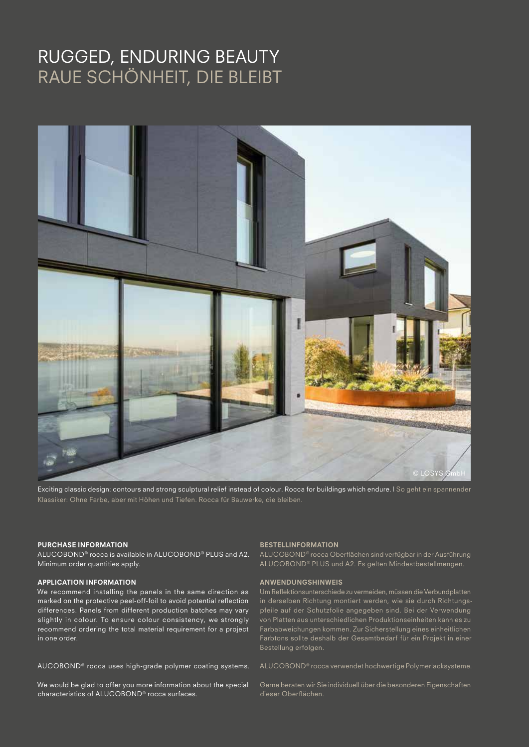## RUGGED, ENDURING BEAUTY RAUE SCHÖNHEIT, DIE BLEIBT



Exciting classic design: contours and strong sculptural relief instead of colour. Rocca for buildings which endure. | So geht ein spannender

#### PURCHASE INFORMATION

ALUCOBOND® rocca is available in ALUCOBOND® PLUS and A2. Minimum order quantities apply.

#### APPLICATION INFORMATION

We recommend installing the panels in the same direction as marked on the protective peel-off-foil to avoid potential reflection differences. Panels from different production batches may vary slightly in colour. To ensure colour consistency, we strongly recommend ordering the total material requirement for a project in one order.

AUCOBOND® rocca uses high-grade polymer coating systems.

We would be glad to offer you more information about the special characteristics of ALUCOBOND® rocca surfaces.

#### BESTELLINFORMATION

ALUCOBOND® rocca Oberflächen sind verfügbar in der Ausführung ALUCOBOND® PLUS und A2. Es gelten Mindestbestellmengen.

#### ANWENDUNGSHINWEIS

Um Reflektionsunterschiede zu vermeiden, müssen die Verbundplatten in derselben Richtung montiert werden, wie sie durch Richtungspfeile auf der Schutzfolie angegeben sind. Bei der Verwendung Farbabweichungen kommen. Zur Sicherstellung eines einheitlichen Bestellung erfolgen.

ALUCOBOND® rocca verwendet hochwertige Polymerlacksysteme.

Gerne beraten wir Sie individuell über die besonderen Eigenschaften dieser Oberflächen.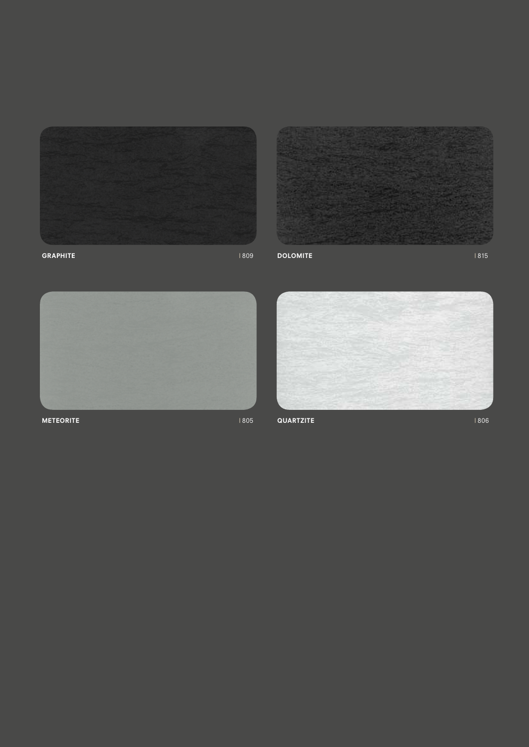





METEORITE | 805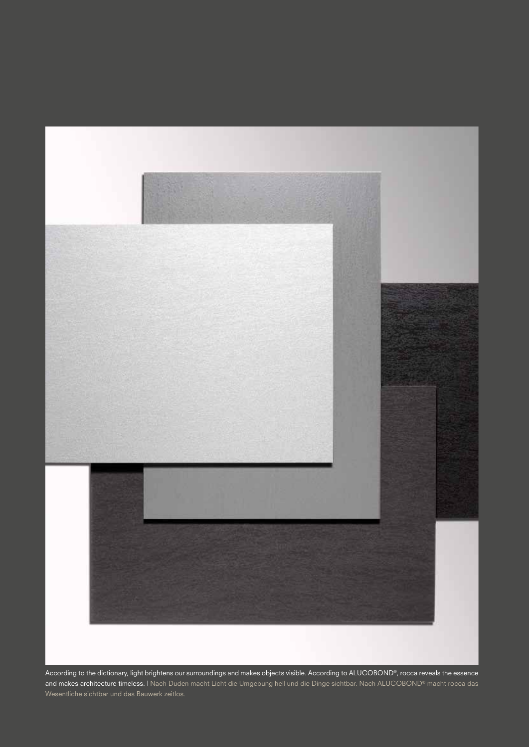

According to the dictionary, light brightens our surroundings and makes objects visible. According to ALUCOBOND®, rocca reveals the essence and makes architecture timeless. | Nach Duden macht Licht die Umgebung hell und die Dinge sichtbar. Nach ALUCOBOND® macht rocca das Wesentliche sichtbar und das Bauwerk zeitlos.